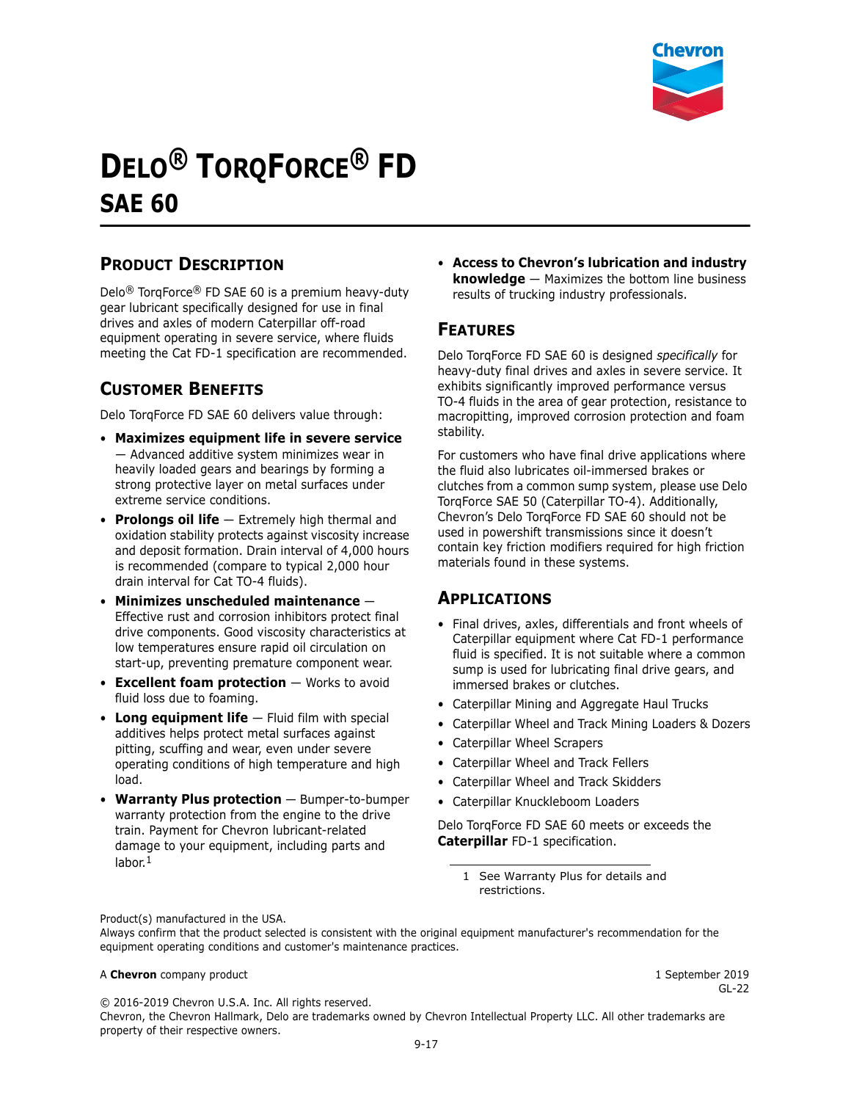

# **DELO® TORQFORCE® FD SAE 60**

# **PRODUCT DESCRIPTION**

Delo® TorqForce® FD SAE 60 is a premium heavy-duty gear lubricant specifically designed for use in final drives and axles of modern Caterpillar off-road equipment operating in severe service, where fluids meeting the Cat FD-1 specification are recommended.

# **CUSTOMER BENEFITS**

Delo TorqForce FD SAE 60 delivers value through:

- **Maximizes equipment life in severe service**  — Advanced additive system minimizes wear in heavily loaded gears and bearings by forming a strong protective layer on metal surfaces under extreme service conditions.
- **Prolongs oil life** Extremely high thermal and oxidation stability protects against viscosity increase and deposit formation. Drain interval of 4,000 hours is recommended (compare to typical 2,000 hour drain interval for Cat TO-4 fluids).
- **Minimizes unscheduled maintenance** Effective rust and corrosion inhibitors protect final drive components. Good viscosity characteristics at low temperatures ensure rapid oil circulation on start-up, preventing premature component wear.
- **Excellent foam protection** Works to avoid fluid loss due to foaming.
- **Long equipment life** Fluid film with special additives helps protect metal surfaces against pitting, scuffing and wear, even under severe operating conditions of high temperature and high load.
- **Warranty Plus protection** Bumper-to-bumper warranty protection from the engine to the drive train. Payment for Chevron lubricant-related damage to your equipment, including parts and labor.<sup>1</sup>

• **Access to Chevron's lubrication and industry knowledge** — Maximizes the bottom line business results of trucking industry professionals.

### **FEATURES**

Delo TorqForce FD SAE 60 is designed *specifically* for heavy-duty final drives and axles in severe service. It exhibits significantly improved performance versus TO-4 fluids in the area of gear protection, resistance to macropitting, improved corrosion protection and foam stability.

For customers who have final drive applications where the fluid also lubricates oil-immersed brakes or clutches from a common sump system, please use Delo TorqForce SAE 50 (Caterpillar TO-4). Additionally, Chevron's Delo TorqForce FD SAE 60 should not be used in powershift transmissions since it doesn't contain key friction modifiers required for high friction materials found in these systems.

### **APPLICATIONS**

- Final drives, axles, differentials and front wheels of Caterpillar equipment where Cat FD-1 performance fluid is specified. It is not suitable where a common sump is used for lubricating final drive gears, and immersed brakes or clutches.
- Caterpillar Mining and Aggregate Haul Trucks
- Caterpillar Wheel and Track Mining Loaders & Dozers
- Caterpillar Wheel Scrapers
- Caterpillar Wheel and Track Fellers
- Caterpillar Wheel and Track Skidders
- Caterpillar Knuckleboom Loaders

Delo TorqForce FD SAE 60 meets or exceeds the **Caterpillar** FD-1 specification.

1 See Warranty Plus for details and restrictions.

Product(s) manufactured in the USA.

Always confirm that the product selected is consistent with the original equipment manufacturer's recommendation for the equipment operating conditions and customer's maintenance practices.

#### A **Chevron** company product **1** September 2019

GL-22

© 2016-2019 Chevron U.S.A. Inc. All rights reserved.

Chevron, the Chevron Hallmark, Delo are trademarks owned by Chevron Intellectual Property LLC. All other trademarks are property of their respective owners.